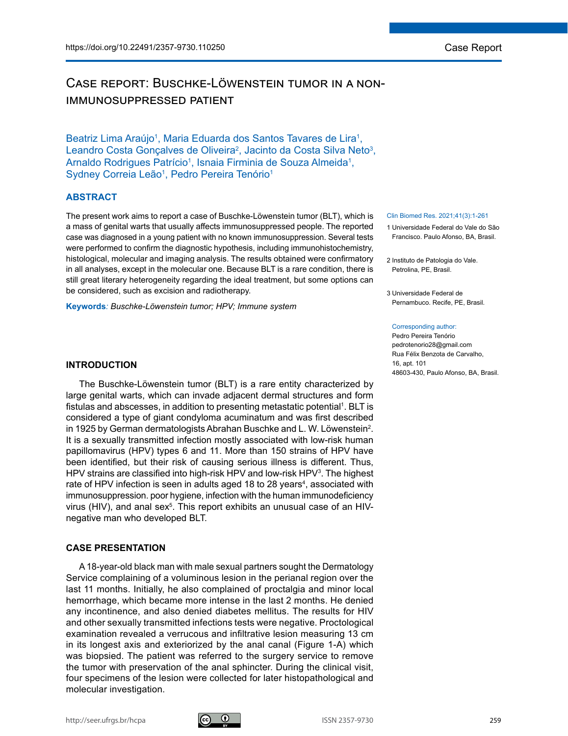# Case report: Buschke-Löwenstein tumor in a nonimmunosuppressed patient

Beatriz Lima Araújo<sup>1</sup>, Maria Eduarda dos Santos Tavares de Lira<sup>1</sup>, Leandro Costa Gonçalves de Oliveira<sup>2</sup>, Jacinto da Costa Silva Neto<sup>3</sup>, Arnaldo Rodrigues Patrício<sup>1</sup>, Isnaia Firminia de Souza Almeida<sup>1</sup>, Sydney Correia Leão<sup>1</sup>, Pedro Pereira Tenório<sup>1</sup>

# **ABSTRACT**

The present work aims to report a case of Buschke-Löwenstein tumor (BLT), which is a mass of genital warts that usually affects immunosuppressed people. The reported case was diagnosed in a young patient with no known immunosuppression. Several tests were performed to confirm the diagnostic hypothesis, including immunohistochemistry, histological, molecular and imaging analysis. The results obtained were confirmatory in all analyses, except in the molecular one. Because BLT is a rare condition, there is still great literary heterogeneity regarding the ideal treatment, but some options can be considered, such as excision and radiotherapy.

**Keywords***: Buschke-Löwenstein tumor; HPV; Immune system*

# **INTRODUCTION**

The Buschke-Löwenstein tumor (BLT) is a rare entity characterized by large genital warts, which can invade adjacent dermal structures and form fistulas and abscesses, in addition to presenting metastatic potential $^{\rm 1}.$  BLT is considered a type of giant condyloma acuminatum and was first described in 1925 by German dermatologists Abrahan Buschke and L. W. Löwenstein $^2$ . It is a sexually transmitted infection mostly associated with low-risk human papillomavirus (HPV) types 6 and 11. More than 150 strains of HPV have been identified, but their risk of causing serious illness is different. Thus, HPV strains are classified into high-risk HPV and low-risk HPV<sup>3</sup>. The highest rate of HPV infection is seen in adults aged 18 to 28 years<sup>4</sup>, associated with immunosuppression. poor hygiene, infection with the human immunodeficiency virus (HIV), and anal sex $5$ . This report exhibits an unusual case of an HIVnegative man who developed BLT.

## **CASE PRESENTATION**

A 18-year-old black man with male sexual partners sought the Dermatology Service complaining of a voluminous lesion in the perianal region over the last 11 months. Initially, he also complained of proctalgia and minor local hemorrhage, which became more intense in the last 2 months. He denied any incontinence, and also denied diabetes mellitus. The results for HIV and other sexually transmitted infections tests were negative. Proctological examination revealed a verrucous and infiltrative lesion measuring 13 cm in its longest axis and exteriorized by the anal canal (Figure 1-A) which was biopsied. The patient was referred to the surgery service to remove the tumor with preservation of the anal sphincter. During the clinical visit, four specimens of the lesion were collected for later histopathological and molecular investigation.

#### Clin Biomed Res. 2021;41(3):1-261

- 1 Universidade Federal do Vale do São Francisco. Paulo Afonso, BA, Brasil.
- 2 Instituto de Patologia do Vale. Petrolina, PE, Brasil.
- 3 Universidade Federal de Pernambuco. Recife, PE, Brasil.

#### Corresponding author:

Pedro Pereira Tenório pedrotenorio28@gmail.com Rua Félix Benzota de Carvalho, 16, apt. 101 48603-430, Paulo Afonso, BA, Brasil.

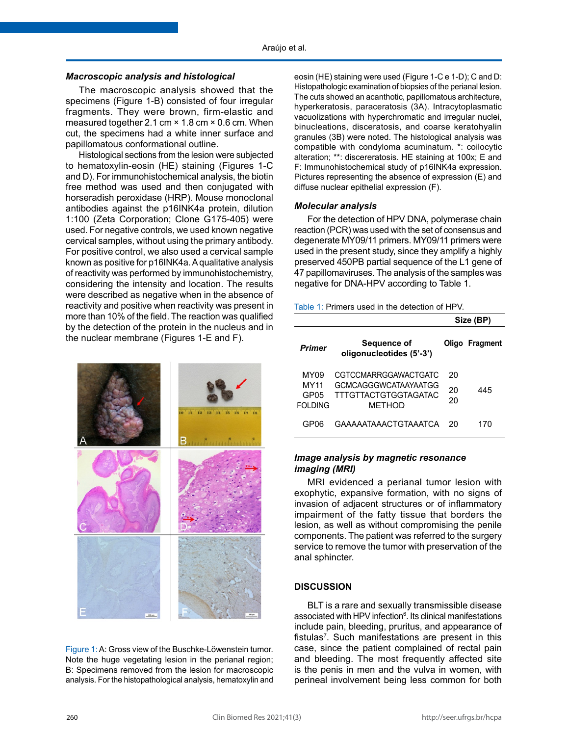### *Macroscopic analysis and histological*

The macroscopic analysis showed that the specimens (Figure 1-B) consisted of four irregular fragments. They were brown, firm-elastic and measured together 2.1 cm × 1.8 cm × 0.6 cm. When cut, the specimens had a white inner surface and papillomatous conformational outline.

Histological sections from the lesion were subjected to hematoxylin-eosin (HE) staining (Figures 1-C and D). For immunohistochemical analysis, the biotin free method was used and then conjugated with horseradish peroxidase (HRP). Mouse monoclonal antibodies against the p16INK4a protein, dilution 1:100 (Zeta Corporation; Clone G175-405) were used. For negative controls, we used known negative cervical samples, without using the primary antibody. For positive control, we also used a cervical sample known as positive for p16INK4a. A qualitative analysis of reactivity was performed by immunohistochemistry, considering the intensity and location. The results were described as negative when in the absence of reactivity and positive when reactivity was present in more than 10% of the field. The reaction was qualified by the detection of the protein in the nucleus and in the nuclear membrane (Figures 1-E and F).



Figure 1: A: Gross view of the Buschke-Löwenstein tumor. Note the huge vegetating lesion in the perianal region; B: Specimens removed from the lesion for macroscopic analysis. For the histopathological analysis, hematoxylin and

eosin (HE) staining were used (Figure 1-C e 1-D); C and D: Histopathologic examination of biopsies of the perianal lesion. The cuts showed an acanthotic, papillomatous architecture, hyperkeratosis, paraceratosis (3A). Intracytoplasmatic vacuolizations with hyperchromatic and irregular nuclei, binucleations, disceratosis, and coarse keratohyalin granules (3B) were noted. The histological analysis was compatible with condyloma acuminatum. \*: coilocytic alteration; \*\*: discereratosis. HE staining at 100x; E and F: Immunohistochemical study of p16INK4a expression. Pictures representing the absence of expression (E) and diffuse nuclear epithelial expression (F).

#### *Molecular analysis*

For the detection of HPV DNA, polymerase chain reaction (PCR) was used with the set of consensus and degenerate MY09/11 primers. MY09/11 primers were used in the present study, since they amplify a highly preserved 450PB partial sequence of the L1 gene of 47 papillomaviruses. The analysis of the samples was negative for DNA-HPV according to Table 1.

|  |  | Table 1: Primers used in the detection of HPV. |  |
|--|--|------------------------------------------------|--|
|--|--|------------------------------------------------|--|

|                                                     |                                                                                                     | Size (BP)      |                |
|-----------------------------------------------------|-----------------------------------------------------------------------------------------------------|----------------|----------------|
| <b>Primer</b>                                       | Sequence of<br>oligonucleotides (5'-3')                                                             |                | Oligo Fragment |
| MY <sub>09</sub><br><b>MY11</b><br>GP05<br>FOI DING | CGTCCMARRGGAWACTGATC<br><b>GCMCAGGGWCATAAYAATGG</b><br><b>TTTGTTACTGTGGTAGATAC</b><br><b>METHOD</b> | 20<br>20<br>20 | 445            |
| GP06                                                | GAAAAATAAACTGTAAATCA                                                                                | 20             | 170            |

# *Image analysis by magnetic resonance imaging (MRI)*

MRI evidenced a perianal tumor lesion with exophytic, expansive formation, with no signs of invasion of adjacent structures or of inflammatory impairment of the fatty tissue that borders the lesion, as well as without compromising the penile components. The patient was referred to the surgery service to remove the tumor with preservation of the anal sphincter.

#### **DISCUSSION**

BLT is a rare and sexually transmissible disease associated with HPV infection<sup>6</sup>. Its clinical manifestations include pain, bleeding, pruritus, and appearance of fistulas<sup>7</sup>. Such manifestations are present in this case, since the patient complained of rectal pain and bleeding. The most frequently affected site is the penis in men and the vulva in women, with perineal involvement being less common for both